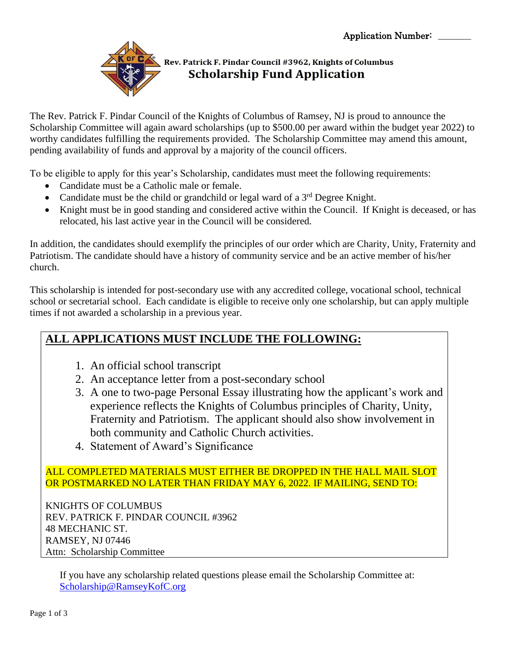

## Rev. Patrick F. Pindar Council #3962, Knights of Columbus **Scholarship Fund Application**

The Rev. Patrick F. Pindar Council of the Knights of Columbus of Ramsey, NJ is proud to announce the Scholarship Committee will again award scholarships (up to \$500.00 per award within the budget year 2022) to worthy candidates fulfilling the requirements provided. The Scholarship Committee may amend this amount, pending availability of funds and approval by a majority of the council officers.

To be eligible to apply for this year's Scholarship, candidates must meet the following requirements:

- Candidate must be a Catholic male or female.
- Candidate must be the child or grandchild or legal ward of a  $3<sup>rd</sup>$  Degree Knight.
- Knight must be in good standing and considered active within the Council. If Knight is deceased, or has relocated, his last active year in the Council will be considered.

In addition, the candidates should exemplify the principles of our order which are Charity, Unity, Fraternity and Patriotism. The candidate should have a history of community service and be an active member of his/her church.

This scholarship is intended for post-secondary use with any accredited college, vocational school, technical school or secretarial school. Each candidate is eligible to receive only one scholarship, but can apply multiple times if not awarded a scholarship in a previous year.

# **ALL APPLICATIONS MUST INCLUDE THE FOLLOWING:**

- 1. An official school transcript
- 2. An acceptance letter from a post-secondary school
- 3. A one to two-page Personal Essay illustrating how the applicant's work and experience reflects the Knights of Columbus principles of Charity, Unity, Fraternity and Patriotism. The applicant should also show involvement in both community and Catholic Church activities.
- 4. Statement of Award's Significance

#### ALL COMPLETED MATERIALS MUST EITHER BE DROPPED IN THE HALL MAIL SLOT OR POSTMARKED NO LATER THAN FRIDAY MAY 6, 2022. IF MAILING, SEND TO:

KNIGHTS OF COLUMBUS REV. PATRICK F. PINDAR COUNCIL #3962 48 MECHANIC ST. RAMSEY, NJ 07446 Attn: Scholarship Committee

If you have any scholarship related questions please email the Scholarship Committee at: [Scholarship@RamseyKofC.org](mailto:Scholarship@RamseyKofC.org)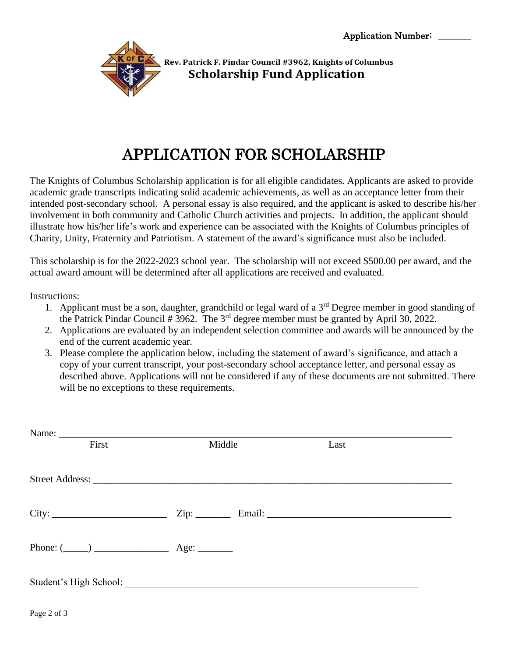

Rev. Patrick F. Pindar Council #3962, Knights of Columbus **Scholarship Fund Application** 

# APPLICATION FOR SCHOLARSHIP

The Knights of Columbus Scholarship application is for all eligible candidates. Applicants are asked to provide academic grade transcripts indicating solid academic achievements, as well as an acceptance letter from their intended post-secondary school. A personal essay is also required, and the applicant is asked to describe his/her involvement in both community and Catholic Church activities and projects. In addition, the applicant should illustrate how his/her life's work and experience can be associated with the Knights of Columbus principles of Charity, Unity, Fraternity and Patriotism. A statement of the award's significance must also be included.

This scholarship is for the 2022-2023 school year. The scholarship will not exceed \$500.00 per award, and the actual award amount will be determined after all applications are received and evaluated.

Instructions:

- 1. Applicant must be a son, daughter, grandchild or legal ward of a  $3<sup>rd</sup>$  Degree member in good standing of the Patrick Pindar Council  $# 3962$ . The  $3<sup>rd</sup>$  degree member must be granted by April 30, 2022.
- 2. Applications are evaluated by an independent selection committee and awards will be announced by the end of the current academic year.
- 3. Please complete the application below, including the statement of award's significance, and attach a copy of your current transcript, your post-secondary school acceptance letter, and personal essay as described above. Applications will not be considered if any of these documents are not submitted. There will be no exceptions to these requirements.

| First                              | Middle | Last |
|------------------------------------|--------|------|
|                                    |        |      |
|                                    |        |      |
|                                    |        |      |
|                                    |        |      |
|                                    |        |      |
| Phone: $(\_\_)$ $\_\_$ Age: $\_\_$ |        |      |
|                                    |        |      |
|                                    |        |      |
|                                    |        |      |

Page 2 of 3